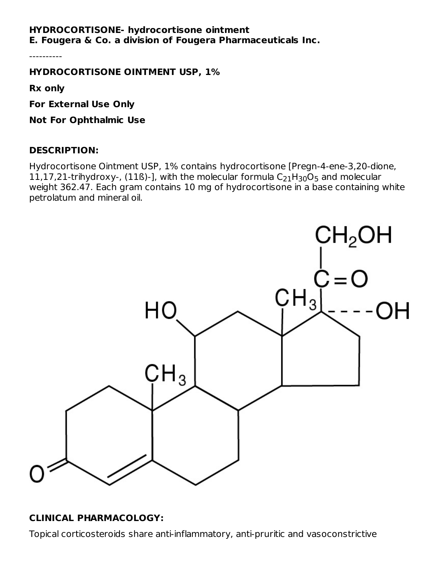## **HYDROCORTISONE- hydrocortisone ointment E. Fougera & Co. a division of Fougera Pharmaceuticals Inc.**

----------

**HYDROCORTISONE OINTMENT USP, 1%**

**Rx only**

**For External Use Only**

**Not For Ophthalmic Use**

#### **DESCRIPTION:**

Hydrocortisone Ointment USP, 1% contains hydrocortisone [Pregn-4-ene-3,20-dione, 11,17,21-trihydroxy-, (11ß)-], with the molecular formula  $\rm{C_{21}H_{30}O_5}$  and molecular weight 362.47. Each gram contains 10 mg of hydrocortisone in a base containing white petrolatum and mineral oil.



# **CLINICAL PHARMACOLOGY:**

Topical corticosteroids share anti-inflammatory, anti-pruritic and vasoconstrictive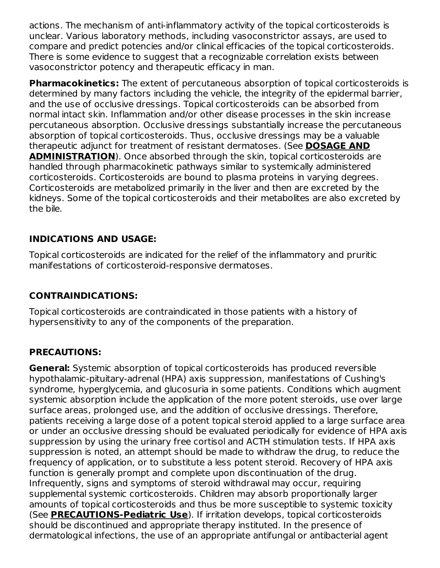actions. The mechanism of anti-inflammatory activity of the topical corticosteroids is unclear. Various laboratory methods, including vasoconstrictor assays, are used to compare and predict potencies and/or clinical efficacies of the topical corticosteroids. There is some evidence to suggest that a recognizable correlation exists between vasoconstrictor potency and therapeutic efficacy in man.

**Pharmacokinetics:** The extent of percutaneous absorption of topical corticosteroids is determined by many factors including the vehicle, the integrity of the epidermal barrier, and the use of occlusive dressings. Topical corticosteroids can be absorbed from normal intact skin. Inflammation and/or other disease processes in the skin increase percutaneous absorption. Occlusive dressings substantially increase the percutaneous absorption of topical corticosteroids. Thus, occlusive dressings may be a valuable therapeutic adjunct for treatment of resistant dermatoses. (See **DOSAGE AND ADMINISTRATION**). Once absorbed through the skin, topical corticosteroids are handled through pharmacokinetic pathways similar to systemically administered corticosteroids. Corticosteroids are bound to plasma proteins in varying degrees. Corticosteroids are metabolized primarily in the liver and then are excreted by the kidneys. Some of the topical corticosteroids and their metabolites are also excreted by the bile.

# **INDICATIONS AND USAGE:**

Topical corticosteroids are indicated for the relief of the inflammatory and pruritic manifestations of corticosteroid-responsive dermatoses.

# **CONTRAINDICATIONS:**

Topical corticosteroids are contraindicated in those patients with a history of hypersensitivity to any of the components of the preparation.

# **PRECAUTIONS:**

**General:** Systemic absorption of topical corticosteroids has produced reversible hypothalamic-pituitary-adrenal (HPA) axis suppression, manifestations of Cushing's syndrome, hyperglycemia, and glucosuria in some patients. Conditions which augment systemic absorption include the application of the more potent steroids, use over large surface areas, prolonged use, and the addition of occlusive dressings. Therefore, patients receiving a large dose of a potent topical steroid applied to a large surface area or under an occlusive dressing should be evaluated periodically for evidence of HPA axis suppression by using the urinary free cortisol and ACTH stimulation tests. If HPA axis suppression is noted, an attempt should be made to withdraw the drug, to reduce the frequency of application, or to substitute a less potent steroid. Recovery of HPA axis function is generally prompt and complete upon discontinuation of the drug. Infrequently, signs and symptoms of steroid withdrawal may occur, requiring supplemental systemic corticosteroids. Children may absorb proportionally larger amounts of topical corticosteroids and thus be more susceptible to systemic toxicity (See **PRECAUTIONS-Pediatric Use**). If irritation develops, topical corticosteroids should be discontinued and appropriate therapy instituted. In the presence of dermatological infections, the use of an appropriate antifungal or antibacterial agent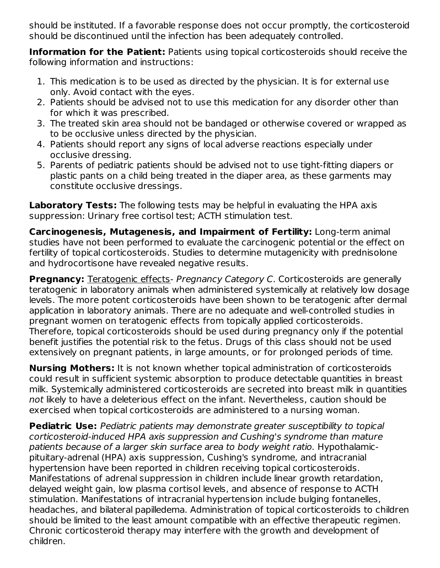should be instituted. If a favorable response does not occur promptly, the corticosteroid should be discontinued until the infection has been adequately controlled.

**Information for the Patient:** Patients using topical corticosteroids should receive the following information and instructions:

- 1. This medication is to be used as directed by the physician. It is for external use only. Avoid contact with the eyes.
- 2. Patients should be advised not to use this medication for any disorder other than for which it was prescribed.
- 3. The treated skin area should not be bandaged or otherwise covered or wrapped as to be occlusive unless directed by the physician.
- 4. Patients should report any signs of local adverse reactions especially under occlusive dressing.
- 5. Parents of pediatric patients should be advised not to use tight-fitting diapers or plastic pants on a child being treated in the diaper area, as these garments may constitute occlusive dressings.

**Laboratory Tests:** The following tests may be helpful in evaluating the HPA axis suppression: Urinary free cortisol test; ACTH stimulation test.

**Carcinogenesis, Mutagenesis, and Impairment of Fertility:** Long-term animal studies have not been performed to evaluate the carcinogenic potential or the effect on fertility of topical corticosteroids. Studies to determine mutagenicity with prednisolone and hydrocortisone have revealed negative results.

**Pregnancy:** Teratogenic effects- Pregnancy Category C. Corticosteroids are generally teratogenic in laboratory animals when administered systemically at relatively low dosage levels. The more potent corticosteroids have been shown to be teratogenic after dermal application in laboratory animals. There are no adequate and well-controlled studies in pregnant women on teratogenic effects from topically applied corticosteroids. Therefore, topical corticosteroids should be used during pregnancy only if the potential benefit justifies the potential risk to the fetus. Drugs of this class should not be used extensively on pregnant patients, in large amounts, or for prolonged periods of time.

**Nursing Mothers:** It is not known whether topical administration of corticosteroids could result in sufficient systemic absorption to produce detectable quantities in breast milk. Systemically administered corticosteroids are secreted into breast milk in quantities not likely to have a deleterious effect on the infant. Nevertheless, caution should be exercised when topical corticosteroids are administered to a nursing woman.

**Pediatric Use:** Pediatric patients may demonstrate greater susceptibility to topical corticosteroid-induced HPA axis suppression and Cushing's syndrome than mature patients because of a larger skin surface area to body weight ratio. Hypothalamicpituitary-adrenal (HPA) axis suppression, Cushing's syndrome, and intracranial hypertension have been reported in children receiving topical corticosteroids. Manifestations of adrenal suppression in children include linear growth retardation, delayed weight gain, low plasma cortisol levels, and absence of response to ACTH stimulation. Manifestations of intracranial hypertension include bulging fontanelles, headaches, and bilateral papilledema. Administration of topical corticosteroids to children should be limited to the least amount compatible with an effective therapeutic regimen. Chronic corticosteroid therapy may interfere with the growth and development of children.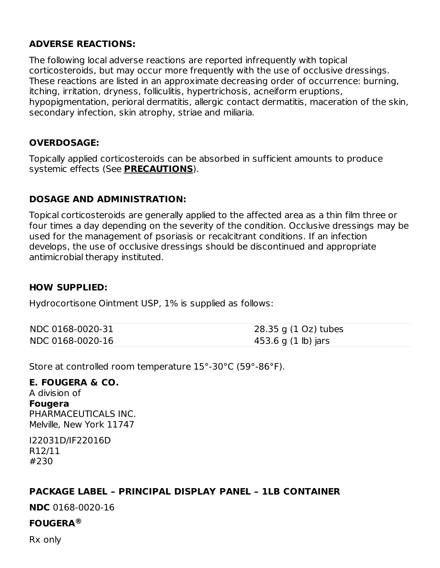## **ADVERSE REACTIONS:**

The following local adverse reactions are reported infrequently with topical corticosteroids, but may occur more frequently with the use of occlusive dressings. These reactions are listed in an approximate decreasing order of occurrence: burning, itching, irritation, dryness, folliculitis, hypertrichosis, acneiform eruptions, hypopigmentation, perioral dermatitis, allergic contact dermatitis, maceration of the skin, secondary infection, skin atrophy, striae and miliaria.

## **OVERDOSAGE:**

Topically applied corticosteroids can be absorbed in sufficient amounts to produce systemic effects (See **PRECAUTIONS**).

## **DOSAGE AND ADMINISTRATION:**

Topical corticosteroids are generally applied to the affected area as a thin film three or four times a day depending on the severity of the condition. Occlusive dressings may be used for the management of psoriasis or recalcitrant conditions. If an infection develops, the use of occlusive dressings should be discontinued and appropriate antimicrobial therapy instituted.

#### **HOW SUPPLIED:**

Hydrocortisone Ointment USP, 1% is supplied as follows:

| NDC 0168-0020-31 | 28.35 g (1 Oz) tubes |
|------------------|----------------------|
| NDC 0168-0020-16 | 453.6 g (1 lb) jars  |

Store at controlled room temperature 15°-30°C (59°-86°F).

#### **E. FOUGERA & CO.**

A division of **Fougera** PHARMACEUTICALS INC. Melville, New York 11747

I22031D/IF22016D R12/11 #230

#### **PACKAGE LABEL – PRINCIPAL DISPLAY PANEL – 1LB CONTAINER**

**NDC** 0168-0020-16

# **FOUGERA ®**

Rx only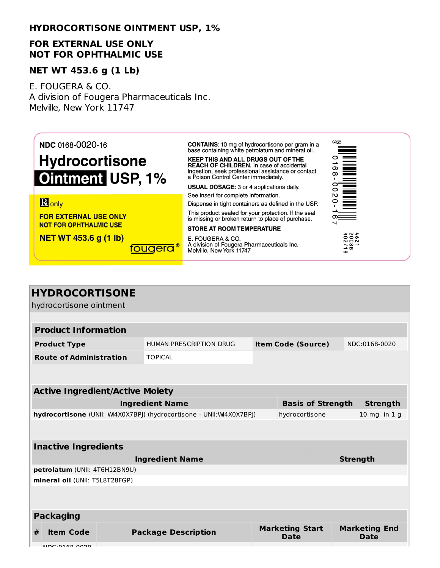#### **HYDROCORTISONE OINTMENT USP, 1%**

#### **FOR EXTERNAL USE ONLY NOT FOR OPHTHALMIC USE**

#### **NET WT 453.6 g (1 Lb)**

E. FOUGERA & CO. A division of Fougera Pharmaceuticals Inc. Melville, New York 11747



| <b>HYDROCORTISONE</b>                                                                |  |                            |                                                                       |                          |               |                  |  |  |  |
|--------------------------------------------------------------------------------------|--|----------------------------|-----------------------------------------------------------------------|--------------------------|---------------|------------------|--|--|--|
| hydrocortisone ointment                                                              |  |                            |                                                                       |                          |               |                  |  |  |  |
|                                                                                      |  |                            |                                                                       |                          |               |                  |  |  |  |
| <b>Product Information</b>                                                           |  |                            |                                                                       |                          |               |                  |  |  |  |
| <b>Product Type</b>                                                                  |  | HUMAN PRESCRIPTION DRUG    | <b>Item Code (Source)</b>                                             |                          | NDC:0168-0020 |                  |  |  |  |
| <b>Route of Administration</b>                                                       |  | <b>TOPICAL</b>             |                                                                       |                          |               |                  |  |  |  |
|                                                                                      |  |                            |                                                                       |                          |               |                  |  |  |  |
|                                                                                      |  |                            |                                                                       |                          |               |                  |  |  |  |
| <b>Active Ingredient/Active Moiety</b>                                               |  |                            |                                                                       |                          |               |                  |  |  |  |
| <b>Ingredient Name</b>                                                               |  |                            |                                                                       | <b>Basis of Strength</b> |               | <b>Strength</b>  |  |  |  |
| hydrocortisone (UNII: W4X0X7BPJ) (hydrocortisone - UNII:W4X0X7BPJ)<br>hydrocortisone |  |                            |                                                                       |                          |               | $10$ mg in $1$ g |  |  |  |
|                                                                                      |  |                            |                                                                       |                          |               |                  |  |  |  |
| <b>Inactive Ingredients</b>                                                          |  |                            |                                                                       |                          |               |                  |  |  |  |
| <b>Ingredient Name</b>                                                               |  |                            | <b>Strength</b>                                                       |                          |               |                  |  |  |  |
| petrolatum (UNII: 4T6H12BN9U)                                                        |  |                            |                                                                       |                          |               |                  |  |  |  |
| mineral oil (UNII: T5L8T28FGP)                                                       |  |                            |                                                                       |                          |               |                  |  |  |  |
|                                                                                      |  |                            |                                                                       |                          |               |                  |  |  |  |
| <b>Packaging</b>                                                                     |  |                            |                                                                       |                          |               |                  |  |  |  |
| #<br><b>Item Code</b><br>$\overline{1000}$ $\overline{2100}$ $\overline{2000}$       |  | <b>Package Description</b> | <b>Marketing Start</b><br><b>Marketing End</b><br><b>Date</b><br>Date |                          |               |                  |  |  |  |

NDC:0168-0020-